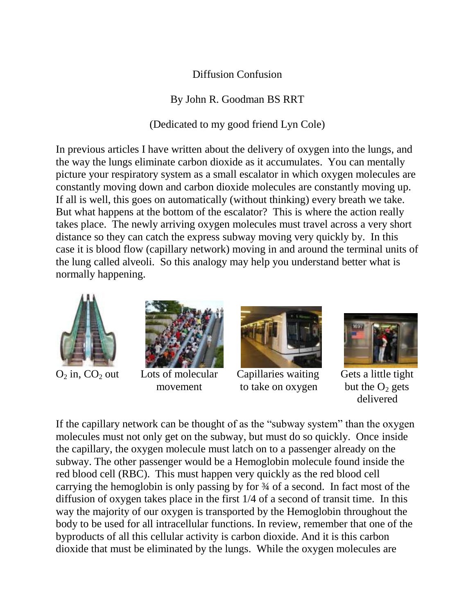## Diffusion Confusion

By John R. Goodman BS RRT

(Dedicated to my good friend Lyn Cole)

In previous articles I have written about the delivery of oxygen into the lungs, and the way the lungs eliminate carbon dioxide as it accumulates. You can mentally picture your respiratory system as a small escalator in which oxygen molecules are constantly moving down and carbon dioxide molecules are constantly moving up. If all is well, this goes on automatically (without thinking) every breath we take. But what happens at the bottom of the escalator? This is where the action really takes place. The newly arriving oxygen molecules must travel across a very short distance so they can catch the express subway moving very quickly by. In this case it is blood flow (capillary network) moving in and around the terminal units of the lung called alveoli. So this analogy may help you understand better what is normally happening.







 $O_2$  in,  $CO_2$  out Lots of molecular Capillaries waiting Gets a little tight movement to take on oxygen but the  $O_2$  gets



delivered and the contract of the contract of the contract of the contract of the contract of the contract of the contract of the contract of the contract of the contract of the contract of the contract of the contract of

If the capillary network can be thought of as the "subway system" than the oxygen molecules must not only get on the subway, but must do so quickly. Once inside the capillary, the oxygen molecule must latch on to a passenger already on the subway. The other passenger would be a Hemoglobin molecule found inside the red blood cell (RBC). This must happen very quickly as the red blood cell carrying the hemoglobin is only passing by for ¾ of a second. In fact most of the diffusion of oxygen takes place in the first 1/4 of a second of transit time. In this way the majority of our oxygen is transported by the Hemoglobin throughout the body to be used for all intracellular functions. In review, remember that one of the byproducts of all this cellular activity is carbon dioxide. And it is this carbon dioxide that must be eliminated by the lungs. While the oxygen molecules are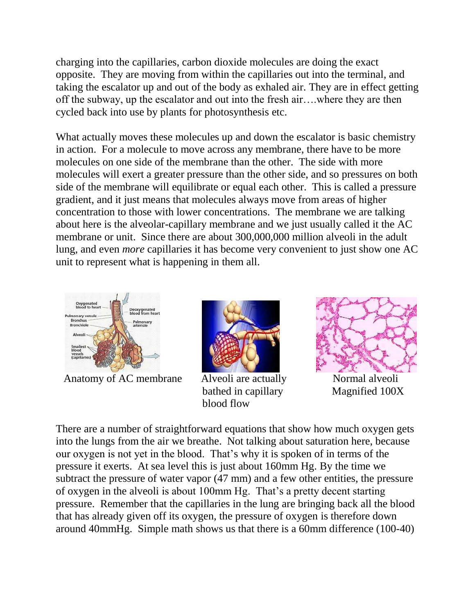charging into the capillaries, carbon dioxide molecules are doing the exact opposite. They are moving from within the capillaries out into the terminal, and taking the escalator up and out of the body as exhaled air. They are in effect getting off the subway, up the escalator and out into the fresh air….where they are then cycled back into use by plants for photosynthesis etc.

What actually moves these molecules up and down the escalator is basic chemistry in action. For a molecule to move across any membrane, there have to be more molecules on one side of the membrane than the other. The side with more molecules will exert a greater pressure than the other side, and so pressures on both side of the membrane will equilibrate or equal each other. This is called a pressure gradient, and it just means that molecules always move from areas of higher concentration to those with lower concentrations. The membrane we are talking about here is the alveolar-capillary membrane and we just usually called it the AC membrane or unit. Since there are about 300,000,000 million alveoli in the adult lung, and even *more* capillaries it has become very convenient to just show one AC unit to represent what is happening in them all.



Anatomy of AC membrane Alveoli are actually Normal alveoli



bathed in capillary Magnified 100X blood flow



There are a number of straightforward equations that show how much oxygen gets into the lungs from the air we breathe. Not talking about saturation here, because our oxygen is not yet in the blood. That's why it is spoken of in terms of the pressure it exerts. At sea level this is just about 160mm Hg. By the time we subtract the pressure of water vapor (47 mm) and a few other entities, the pressure of oxygen in the alveoli is about 100mm Hg. That's a pretty decent starting pressure. Remember that the capillaries in the lung are bringing back all the blood that has already given off its oxygen, the pressure of oxygen is therefore down around 40mmHg. Simple math shows us that there is a 60mm difference (100-40)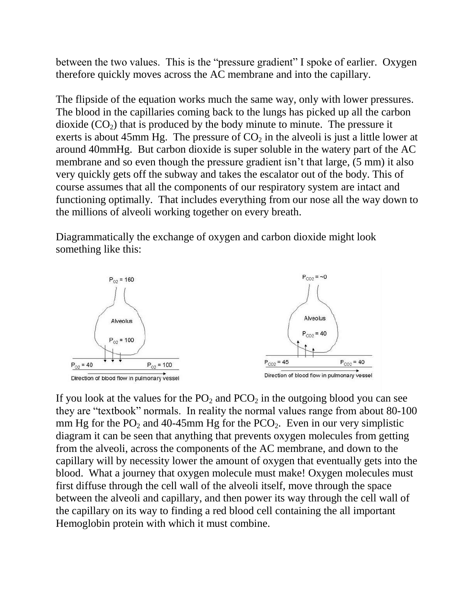between the two values. This is the "pressure gradient" I spoke of earlier. Oxygen therefore quickly moves across the AC membrane and into the capillary.

The flipside of the equation works much the same way, only with lower pressures. The blood in the capillaries coming back to the lungs has picked up all the carbon dioxide  $(CO_2)$  that is produced by the body minute to minute. The pressure it exerts is about 45mm Hg. The pressure of  $CO<sub>2</sub>$  in the alveoli is just a little lower at around 40mmHg. But carbon dioxide is super soluble in the watery part of the AC membrane and so even though the pressure gradient isn't that large, (5 mm) it also very quickly gets off the subway and takes the escalator out of the body. This of course assumes that all the components of our respiratory system are intact and functioning optimally. That includes everything from our nose all the way down to the millions of alveoli working together on every breath.

Diagrammatically the exchange of oxygen and carbon dioxide might look something like this:



If you look at the values for the  $PO_2$  and  $PCO_2$  in the outgoing blood you can see they are "textbook" normals. In reality the normal values range from about 80-100 mm Hg for the  $PO_2$  and 40-45mm Hg for the  $PCO_2$ . Even in our very simplistic diagram it can be seen that anything that prevents oxygen molecules from getting from the alveoli, across the components of the AC membrane, and down to the capillary will by necessity lower the amount of oxygen that eventually gets into the blood. What a journey that oxygen molecule must make! Oxygen molecules must first diffuse through the cell wall of the alveoli itself, move through the space between the alveoli and capillary, and then power its way through the cell wall of the capillary on its way to finding a red blood cell containing the all important Hemoglobin protein with which it must combine.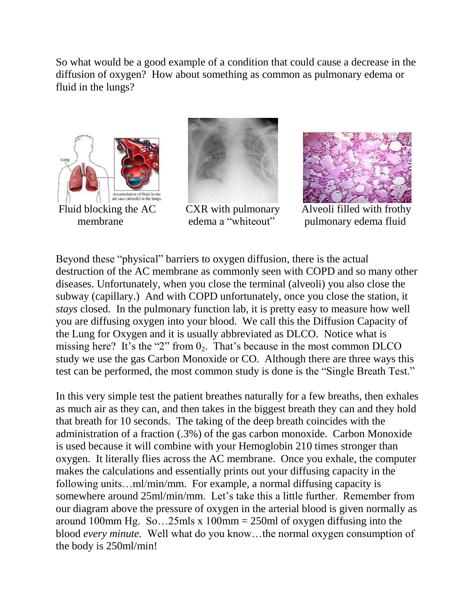So what would be a good example of a condition that could cause a decrease in the diffusion of oxygen? How about something as common as pulmonary edema or fluid in the lungs?







membrane edema a "whiteout" pulmonary edema fluid

Beyond these "physical" barriers to oxygen diffusion, there is the actual destruction of the AC membrane as commonly seen with COPD and so many other diseases. Unfortunately, when you close the terminal (alveoli) you also close the subway (capillary.) And with COPD unfortunately, once you close the station, it *stays* closed. In the pulmonary function lab, it is pretty easy to measure how well you are diffusing oxygen into your blood. We call this the Diffusion Capacity of the Lung for Oxygen and it is usually abbreviated as DLCO. Notice what is missing here? It's the "2" from  $0_2$ . That's because in the most common DLCO study we use the gas Carbon Monoxide or CO. Although there are three ways this test can be performed, the most common study is done is the "Single Breath Test."

In this very simple test the patient breathes naturally for a few breaths, then exhales as much air as they can, and then takes in the biggest breath they can and they hold that breath for 10 seconds. The taking of the deep breath coincides with the administration of a fraction (.3%) of the gas carbon monoxide. Carbon Monoxide is used because it will combine with your Hemoglobin 210 times stronger than oxygen. It literally flies across the AC membrane. Once you exhale, the computer makes the calculations and essentially prints out your diffusing capacity in the following units…ml/min/mm. For example, a normal diffusing capacity is somewhere around 25ml/min/mm. Let's take this a little further. Remember from our diagram above the pressure of oxygen in the arterial blood is given normally as around 100mm Hg. So...25mls x 100mm = 250ml of oxygen diffusing into the blood *every minute.* Well what do you know…the normal oxygen consumption of the body is 250ml/min!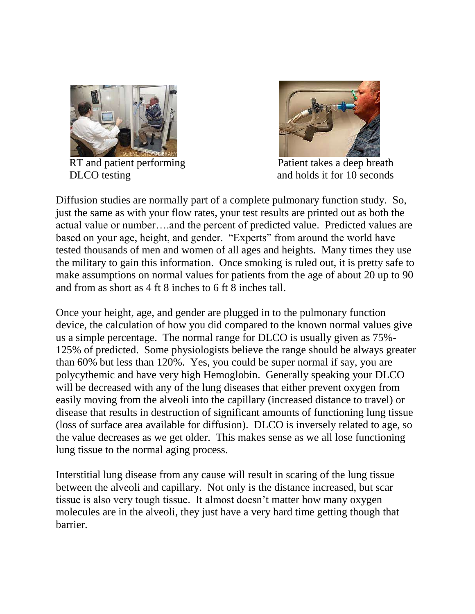

RT and patient performing Patient takes a deep breath



DLCO testing and holds it for 10 seconds

Diffusion studies are normally part of a complete pulmonary function study. So, just the same as with your flow rates, your test results are printed out as both the actual value or number….and the percent of predicted value. Predicted values are based on your age, height, and gender. "Experts" from around the world have tested thousands of men and women of all ages and heights. Many times they use the military to gain this information. Once smoking is ruled out, it is pretty safe to make assumptions on normal values for patients from the age of about 20 up to 90 and from as short as 4 ft 8 inches to 6 ft 8 inches tall.

Once your height, age, and gender are plugged in to the pulmonary function device, the calculation of how you did compared to the known normal values give us a simple percentage. The normal range for DLCO is usually given as 75%- 125% of predicted. Some physiologists believe the range should be always greater than 60% but less than 120%. Yes, you could be super normal if say, you are polycythemic and have very high Hemoglobin. Generally speaking your DLCO will be decreased with any of the lung diseases that either prevent oxygen from easily moving from the alveoli into the capillary (increased distance to travel) or disease that results in destruction of significant amounts of functioning lung tissue (loss of surface area available for diffusion). DLCO is inversely related to age, so the value decreases as we get older. This makes sense as we all lose functioning lung tissue to the normal aging process.

Interstitial lung disease from any cause will result in scaring of the lung tissue between the alveoli and capillary. Not only is the distance increased, but scar tissue is also very tough tissue. It almost doesn't matter how many oxygen molecules are in the alveoli, they just have a very hard time getting though that barrier.